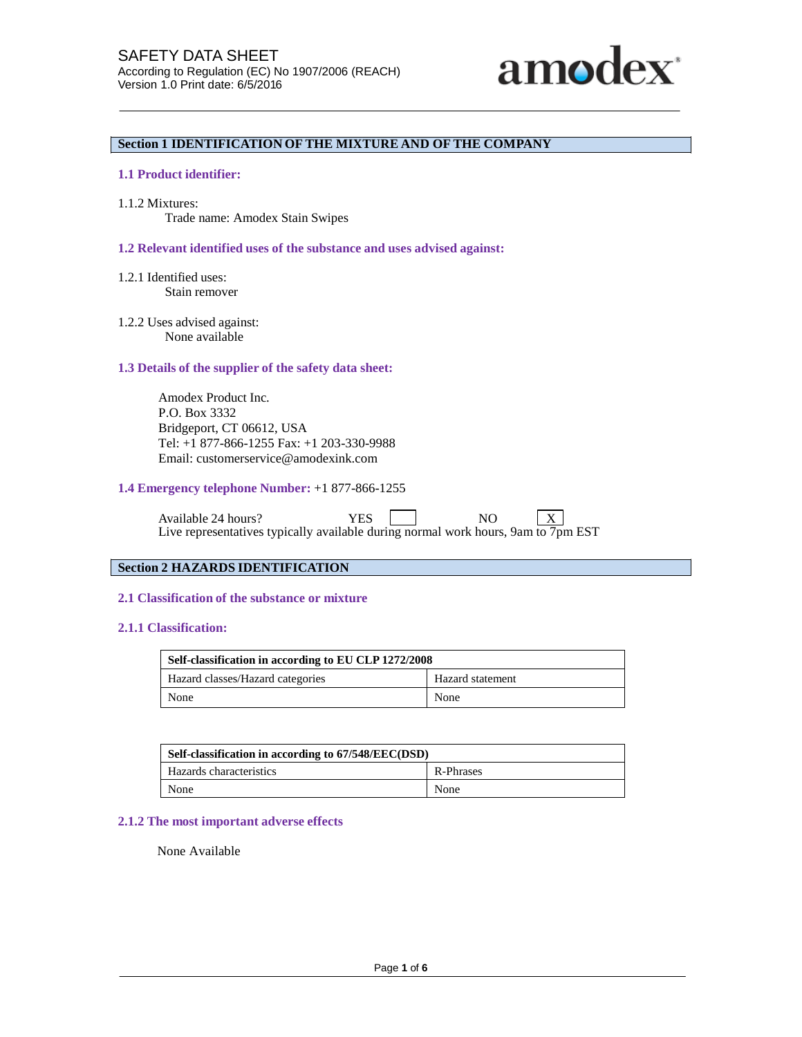

# **Section 1 IDENTIFICATION OF THE MIXTURE AND OF THE COMPANY**

## **1.1 Product identifier:**

1.1.2 Mixtures:

Trade name: Amodex Stain Swipes

#### **1.2 Relevant identified uses of the substance and uses advised against:**

- 1.2.1 Identified uses: Stain remover
- 1.2.2 Uses advised against: None available

## **1.3 Details of the supplier of the safety data sheet:**

Amodex Product Inc. P.O. Box 3332 Bridgeport, CT 06612, USA Tel: +1 877-866-1255 Fax: +1 203-330-9988 Email: customerservice@amodexink.com

#### **1.4 Emergency telephone Number:** +1 877-866-1255

Available 24 hours? YES NO X Live representatives typically available during normal work hours, 9am to 7pm EST

#### **Section 2 HAZARDS IDENTIFICATION**

# **2.1 Classification of the substance or mixture**

# **2.1.1 Classification:**

| Self-classification in according to EU CLP 1272/2008 |                  |  |
|------------------------------------------------------|------------------|--|
| Hazard classes/Hazard categories                     | Hazard statement |  |
| None                                                 | None             |  |

| Self-classification in according to 67/548/EEC(DSD) |           |  |  |
|-----------------------------------------------------|-----------|--|--|
| Hazards characteristics                             | R-Phrases |  |  |
| None                                                | None      |  |  |

# **2.1.2 The most important adverse effects**

None Available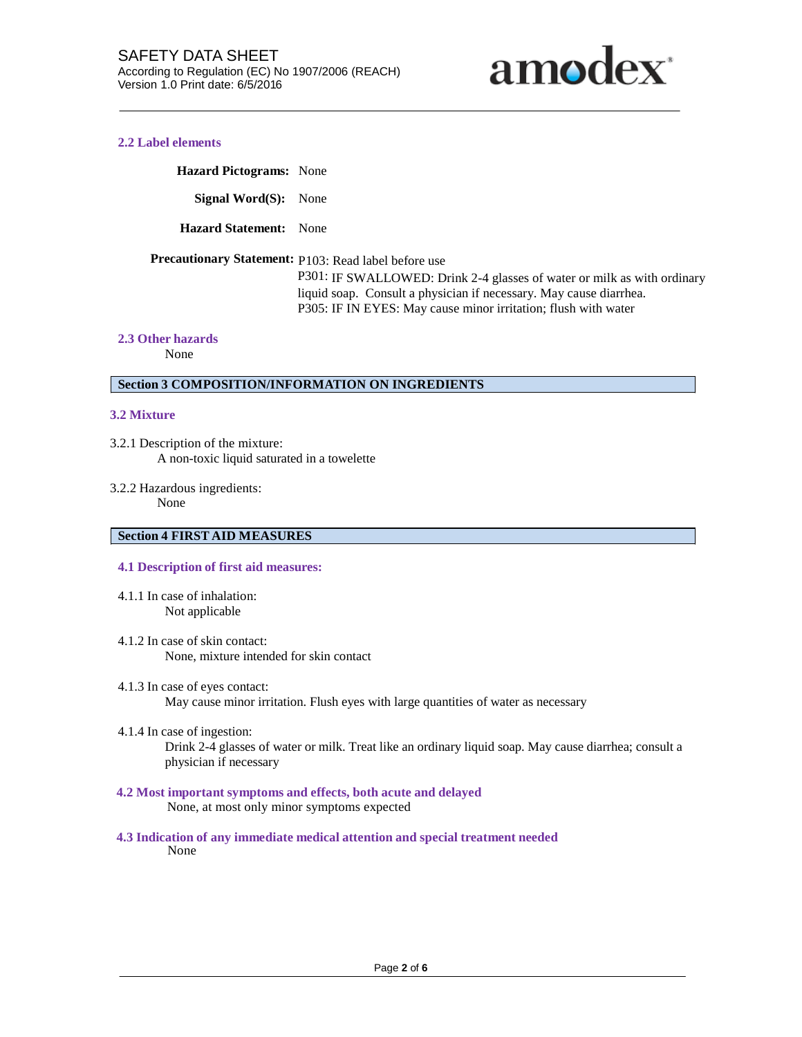

## **2.2 Label elements**

**Hazard Pictograms:** None

**Signal Word(S):** None

**Hazard Statement:** None

**Precautionary Statement:** P103: Read label before use

P301: IF SWALLOWED: Drink 2-4 glasses of water or milk as with ordinary liquid soap. Consult a physician if necessary. May cause diarrhea. P305: IF IN EYES: May cause minor irritation; flush with water

#### **2.3 Other hazards**

None

# **Section 3 COMPOSITION/INFORMATION ON INGREDIENTS**

#### **3.2 Mixture**

- 3.2.1 Description of the mixture: A non-toxic liquid saturated in a towelette
- 3.2.2 Hazardous ingredients: None

# **Section 4 FIRST AID MEASURES**

#### **4.1 Description of first aid measures:**

- 4.1.1 In case of inhalation: Not applicable
- 4.1.2 In case of skin contact: None, mixture intended for skin contact
- 4.1.3 In case of eyes contact: May cause minor irritation. Flush eyes with large quantities of water as necessary
- 4.1.4 In case of ingestion: Drink 2-4 glasses of water or milk. Treat like an ordinary liquid soap. May cause diarrhea; consult a physician if necessary
- **4.2 Most important symptoms and effects, both acute and delayed** None, at most only minor symptoms expected
- **4.3 Indication of any immediate medical attention and special treatment needed** None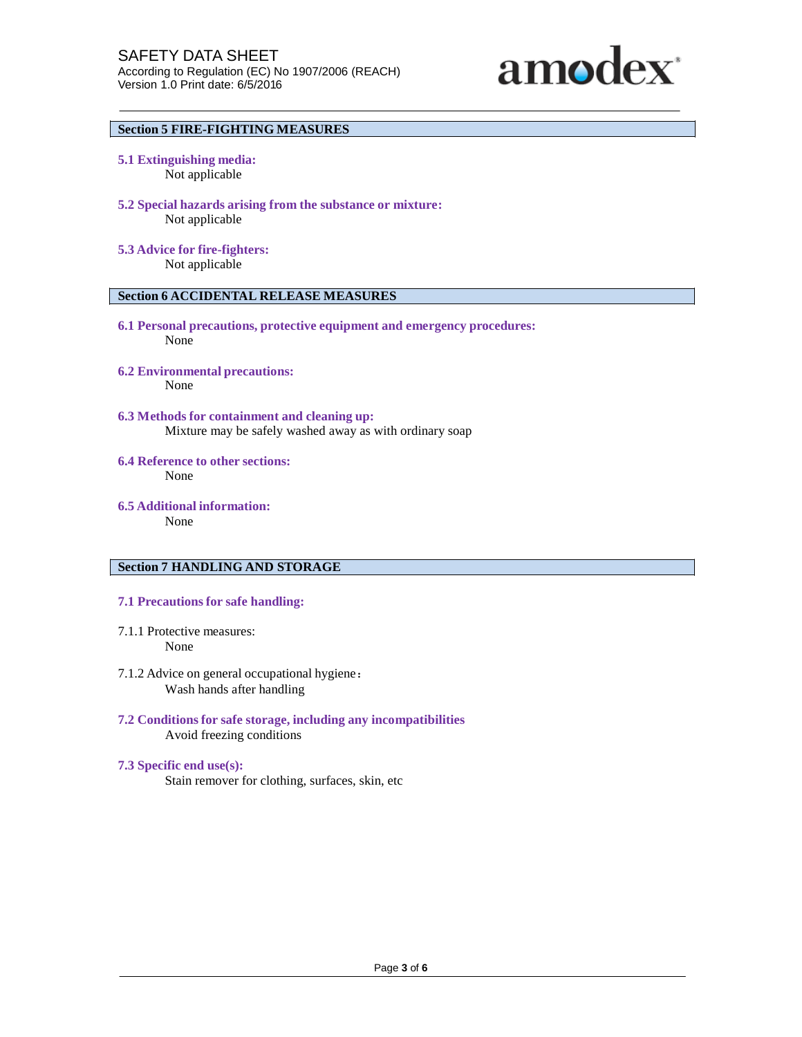

# **Section 5 FIRE-FIGHTING MEASURES**

- **5.1 Extinguishing media:** Not applicable
- **5.2 Special hazards arising from the substance or mixture:** Not applicable
- **5.3 Advice for fire-fighters:** Not applicable

# **Section 6 ACCIDENTAL RELEASE MEASURES**

- **6.1 Personal precautions, protective equipment and emergency procedures:** None
- **6.2 Environmental precautions:** None
- **6.3 Methods for containment and cleaning up:** Mixture may be safely washed away as with ordinary soap
- **6.4 Reference to other sections:** None
- **6.5 Additional information:** None

#### **Section 7 HANDLING AND STORAGE**

- **7.1 Precautions for safe handling:**
- 7.1.1 Protective measures: None
- 7.1.2 Advice on general occupational hygiene: Wash hands after handling
- **7.2 Conditions for safe storage, including any incompatibilities** Avoid freezing conditions
- **7.3 Specific end use(s):** Stain remover for clothing, surfaces, skin, etc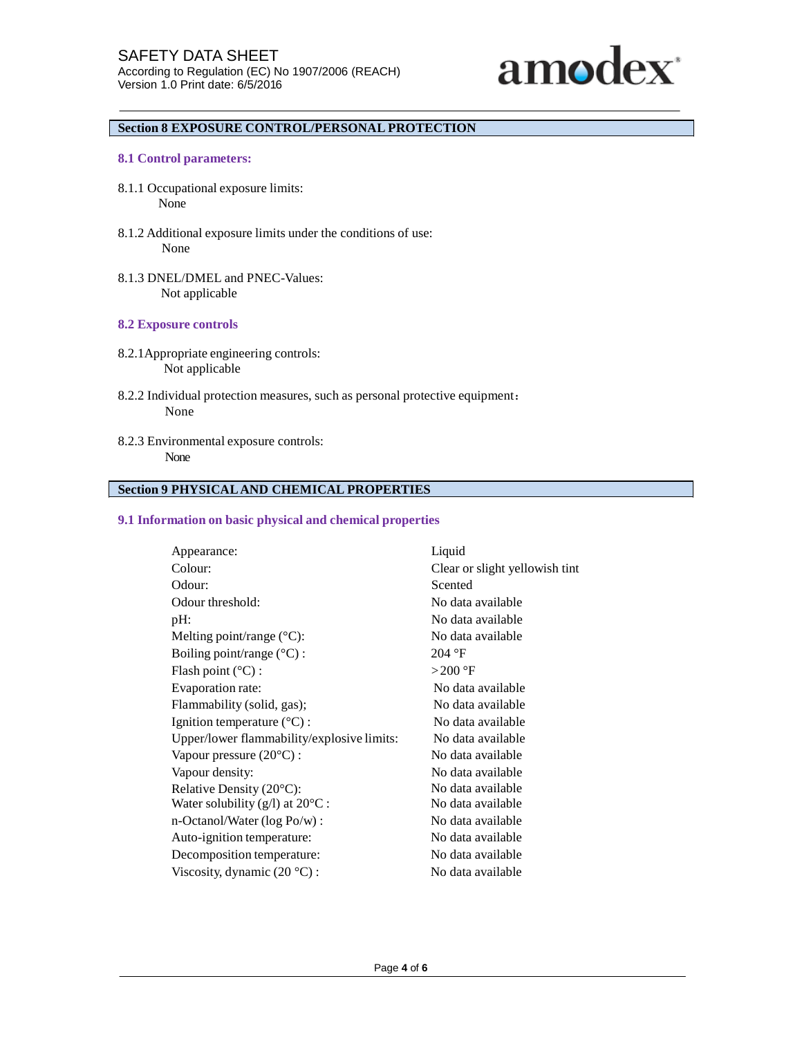

# **Section 8 EXPOSURE CONTROL/PERSONAL PROTECTION**

## **8.1 Control parameters:**

- 8.1.1 Occupational exposure limits: None
- 8.1.2 Additional exposure limits under the conditions of use: None
- 8.1.3 DNEL/DMEL and PNEC-Values: Not applicable

## **8.2 Exposure controls**

- 8.2.1Appropriate engineering controls: Not applicable
- 8.2.2 Individual protection measures, such as personal protective equipment: None
- 8.2.3 Environmental exposure controls: None

# **Section 9 PHYSICALAND CHEMICAL PROPERTIES**

#### **9.1 Information on basic physical and chemical properties**

| Appearance:                                                       | Liquid                         |  |
|-------------------------------------------------------------------|--------------------------------|--|
| Colour:                                                           | Clear or slight yellowish tint |  |
| Odour:                                                            | Scented                        |  |
| Odour threshold:                                                  | No data available              |  |
| pH:                                                               | No data available              |  |
| Melting point/range $(^{\circ}C)$ :                               | No data available              |  |
| Boiling point/range $(^{\circ}C)$ :                               | 204 °F                         |  |
| Flash point $(^{\circ}C)$ :                                       | $>200$ °F                      |  |
| Evaporation rate:                                                 | No data available              |  |
| Flammability (solid, gas);                                        | No data available              |  |
| Ignition temperature $(^{\circ}C)$ :                              | No data available              |  |
| Upper/lower flammability/explosive limits:                        | No data available              |  |
| Vapour pressure $(20^{\circ}C)$ :                                 | No data available              |  |
| Vapour density:                                                   | No data available              |  |
| Relative Density (20°C):<br>No data available                     |                                |  |
| Water solubility $(g/l)$ at $20^{\circ}$ C :<br>No data available |                                |  |
| $n$ -Octanol/Water (log Po/w) :                                   | No data available              |  |
| Auto-ignition temperature:                                        | No data available              |  |
| Decomposition temperature:                                        | No data available              |  |
| Viscosity, dynamic $(20 \degree C)$ :                             | No data available              |  |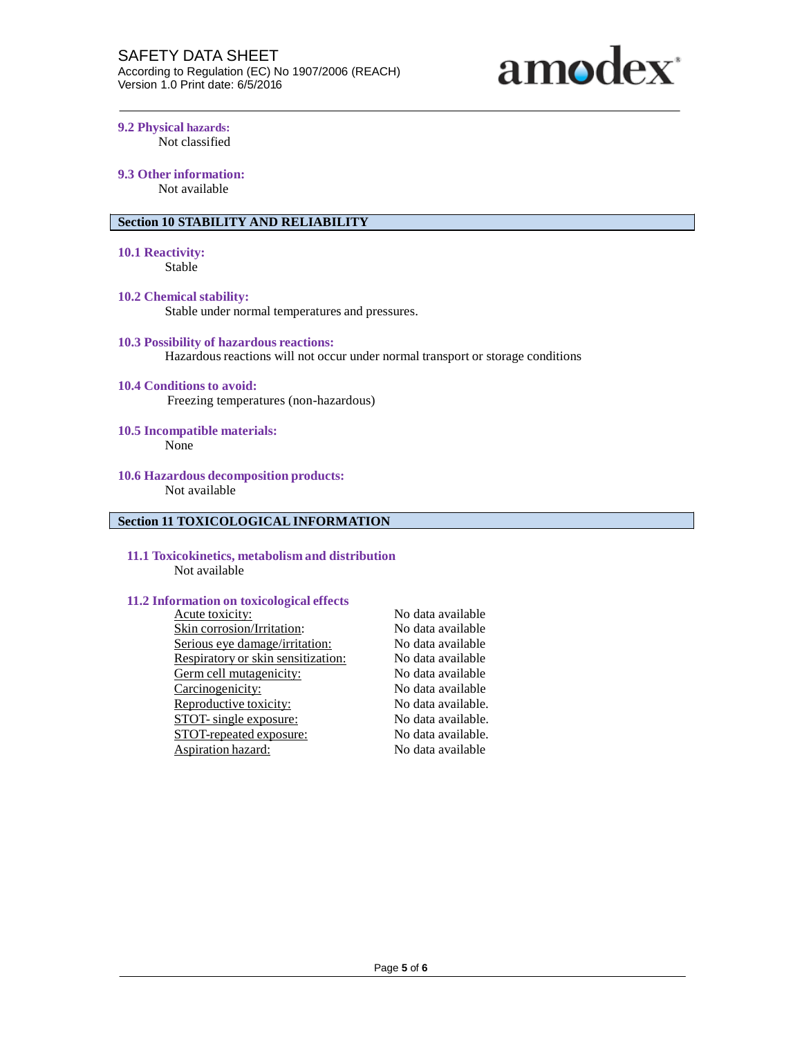

**9.2 Physical hazards:** Not classified

# **9.3 Other information:**

Not available

# **Section 10 STABILITY AND RELIABILITY**

# **10.1 Reactivity:**

Stable

# **10.2 Chemical stability:**

Stable under normal temperatures and pressures.

#### **10.3 Possibility of hazardous reactions:**

Hazardous reactions will not occur under normal transport or storage conditions

## **10.4 Conditions to avoid:**

Freezing temperatures (non-hazardous)

# **10.5 Incompatible materials:**

None

#### **10.6 Hazardous decomposition products:** Not available

# **Section 11 TOXICOLOGICAL INFORMATION**

## **11.1 Toxicokinetics, metabolism and distribution** Not available

#### **11.2 Information on toxicological effects**

| Acute toxicity:                    | No data available  |
|------------------------------------|--------------------|
| Skin corrosion/Irritation:         | No data available  |
| Serious eye damage/irritation:     | No data available  |
| Respiratory or skin sensitization: | No data available  |
| Germ cell mutagenicity:            | No data available  |
| Carcinogenicity:                   | No data available  |
| Reproductive toxicity:             | No data available. |
| STOT- single exposure:             | No data available. |
| STOT-repeated exposure:            | No data available. |
| Aspiration hazard:                 | No data available  |
|                                    |                    |